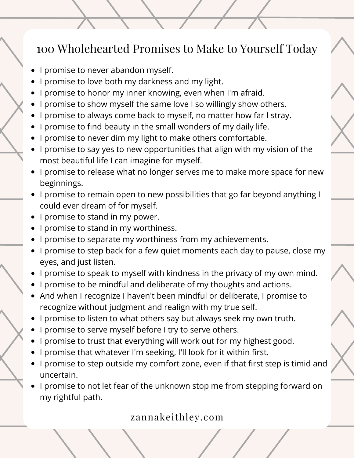- I promise to never abandon myself.
- I promise to love both my darkness and my light.
- I promise to honor my inner knowing, even when I'm afraid.
- I promise to show myself the same love I so willingly show others.
- I promise to always come back to myself, no matter how far I stray.
- I promise to find beauty in the small wonders of my daily life.
- I promise to never dim my light to make others comfortable.
- I promise to say yes to new opportunities that align with my vision of the most beautiful life I can imagine for myself.
- I promise to release what no longer serves me to make more space for new beginnings.
- I promise to remain open to new possibilities that go far beyond anything I could ever dream of for myself.
- I promise to stand in my power.
- I promise to stand in my worthiness.
- I promise to separate my worthiness from my achievements.
- I promise to step back for a few quiet moments each day to pause, close my eyes, and just listen.
- I promise to speak to myself with kindness in the privacy of my own mind.
- I promise to be mindful and deliberate of my thoughts and actions.
- And when I recognize I haven't been mindful or deliberate, I promise to recognize without judgment and realign with my true self.
- I promise to listen to what others say but always seek my own truth.
- I promise to serve myself before I try to serve others.
- I promise to trust that everything will work out for my highest good.
- I promise that whatever I'm seeking, I'll look for it within first.
- I promise to step outside my comfort zone, even if that first step is timid and uncertain.
- I promise to not let fear of the unknown stop me from stepping forward on my rightful path.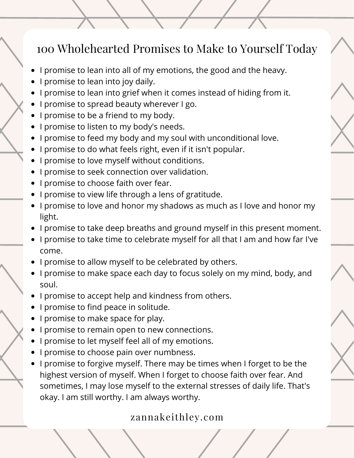- I promise to lean into all of my emotions, the good and the heavy.
- I promise to lean into joy daily.
- I promise to lean into grief when it comes instead of hiding from it.
- I promise to spread beauty wherever I go.
- I promise to be a friend to my body.
- I promise to listen to my body's needs.
- I promise to feed my body and my soul with unconditional love.
- I promise to do what feels right, even if it isn't popular.
- I promise to love myself without conditions.
- I promise to seek connection over validation.
- I promise to choose faith over fear.
- I promise to view life through a lens of gratitude.
- I promise to love and honor my shadows as much as I love and honor my light.
- I promise to take deep breaths and ground myself in this present moment.
- I promise to take time to celebrate myself for all that I am and how far I've come.
- I promise to allow myself to be celebrated by others.
- I promise to make space each day to focus solely on my mind, body, and soul.
- I promise to accept help and kindness from others.
- I promise to find peace in solitude.
- I promise to make space for play.
- I promise to remain open to new connections.
- I promise to let myself feel all of my emotions.
- I promise to choose pain over numbness.
- I promise to forgive myself. There may be times when I forget to be the highest version of myself. When I forget to choose faith over fear. And sometimes, I may lose myself to the external stresses of daily life. That's okay. I am still worthy. I am always worthy.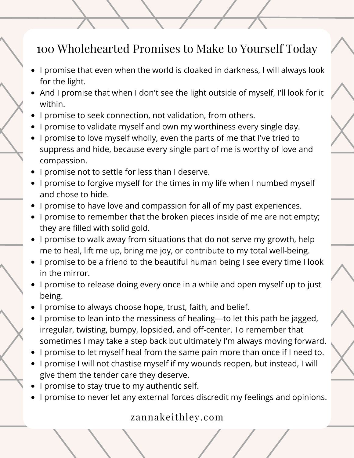- I promise that even when the world is cloaked in darkness, I will always look for the light.
- And I promise that when I don't see the light outside of myself, I'll look for it within.
- I promise to seek connection, not validation, from others.
- I promise to validate myself and own my worthiness every single day.
- I promise to love myself wholly, even the parts of me that I've tried to suppress and hide, because every single part of me is worthy of love and compassion.
- I promise not to settle for less than I deserve.
- I promise to forgive myself for the times in my life when I numbed myself and chose to hide.
- I promise to have love and compassion for all of my past experiences.
- I promise to remember that the broken pieces inside of me are not empty; they are [filled](https://zannakeithley.com/2021/11/30/4-undeniable-reasons-why-you-are-not-broken/) with solid gold.
- I promise to walk away from situations that do not serve my growth, help me to heal, lift me up, bring me joy, or contribute to my total well-being.
- I promise to be a friend to the beautiful human being I see every time I look in the mirror.
- I promise to release doing every once in a while and open myself up to just being.
- I promise to always choose hope, trust, faith, and belief.
- I promise to lean into the messiness of healing—to let this path be jagged, irregular, twisting, bumpy, lopsided, and off-center. To remember that sometimes I may take a step back but ultimately I'm always moving forward.
- I promise to let myself heal from the same pain more than once if I need to.
- I promise I will not chastise myself if my wounds reopen, but instead, I will give them the tender care they deserve.
- I promise to stay true to my authentic self.
- I promise to never let any external forces discredit my feelings and opinions.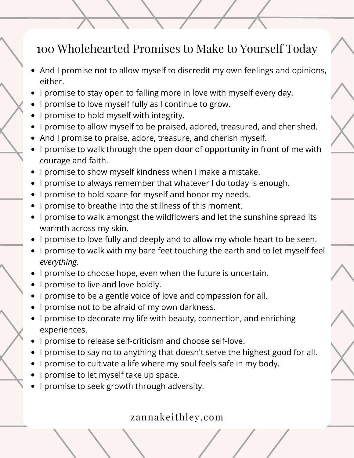- And I promise not to allow myself to discredit my own feelings and opinions, either.
- I promise to stay open to falling more in love with myself every day.
- I promise to love myself fully as I continue to grow.
- I promise to hold myself with integrity.
- I promise to allow myself to be praised, adored, treasured, and cherished.
- And I promise to praise, adore, treasure, and cherish myself.
- I promise to walk through the open door of opportunity in front of me with courage and faith.
- I promise to show myself kindness when I make a mistake.
- I promise to always remember that whatever I do today is enough.
- I promise to hold space for myself and honor my needs.
- I promise to breathe into the stillness of this moment.
- I promise to walk amongst the wildflowers and let the sunshine spread its warmth across my skin.
- I promise to love fully and deeply and to allow my whole heart to be seen.
- I promise to walk with my bare feet touching the earth and to let myself feel *everything*.
- I promise to choose hope, even when the future is uncertain.
- I promise to live and love boldly.
- I promise to be a gentle voice of love and compassion for all.
- I promise not to be afraid of my own darkness.
- I promise to decorate my life with beauty, connection, and enriching experiences.
- I promise to release self-criticism and choose self-love.
- I promise to say no to anything that doesn't serve the highest good for all.
- I promise to cultivate a life where my soul feels safe in my body.
- I promise to let myself take up space.
- I promise to seek growth through adversity.